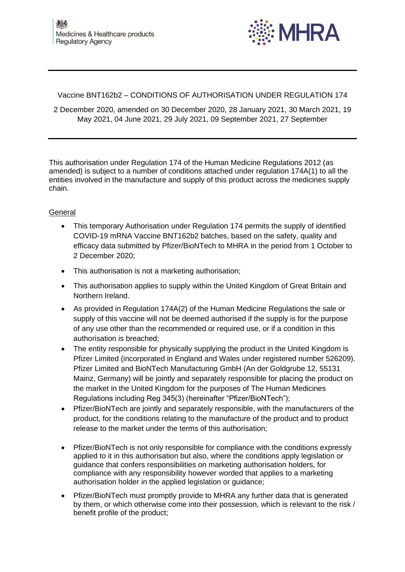

Vaccine BNT162b2 – CONDITIONS OF AUTHORISATION UNDER REGULATION 174

2 December 2020, amended on 30 December 2020, 28 January 2021, 30 March 2021, 19 May 2021, 04 June 2021, 29 July 2021, 09 September 2021, 27 September

This authorisation under Regulation 174 of the [Human Medicine Regulations 2012 \(as](https://www.legislation.gov.uk/uksi/2012/1916/contents/made)  [amended\)](https://www.legislation.gov.uk/uksi/2012/1916/contents/made) is subject to a number of conditions attached under regulation 174A(1) to all the entities involved in the manufacture and supply of this product across the medicines supply chain.

# **General**

- This temporary Authorisation under Regulation 174 permits the supply of identified COVID-19 mRNA Vaccine BNT162b2 batches, based on the safety, quality and efficacy data submitted by Pfizer/BioNTech to MHRA in the period from 1 October to 2 December 2020;
- This authorisation is not a marketing authorisation;
- This authorisation applies to supply within the United Kingdom of Great Britain and Northern Ireland.
- As provided in Regulation 174A(2) of the Human Medicine Regulations the sale or supply of this vaccine will not be deemed authorised if the supply is for the purpose of any use other than the recommended or required use, or if a condition in this authorisation is breached;
- The entity responsible for physically supplying the product in the United Kingdom is Pfizer Limited (incorporated in England and Wales under registered number 526209). Pfizer Limited and BioNTech Manufacturing GmbH (An der Goldgrube 12, 55131 Mainz, Germany) will be jointly and separately responsible for placing the product on the market in the United Kingdom for the purposes of The Human Medicines Regulations including Reg 345(3) (hereinafter "Pfizer/BioNTech");
- Pfizer/BioNTech are jointly and separately responsible, with the manufacturers of the product, for the conditions relating to the manufacture of the product and to product release to the market under the terms of this authorisation;
- Pfizer/BioNTech is not only responsible for compliance with the conditions expressly applied to it in this authorisation but also, where the conditions apply legislation or guidance that confers responsibilities on marketing authorisation holders, for compliance with any responsibility however worded that applies to a marketing authorisation holder in the applied legislation or guidance;
- Pfizer/BioNTech must promptly provide to MHRA any further data that is generated by them, or which otherwise come into their possession, which is relevant to the risk / benefit profile of the product;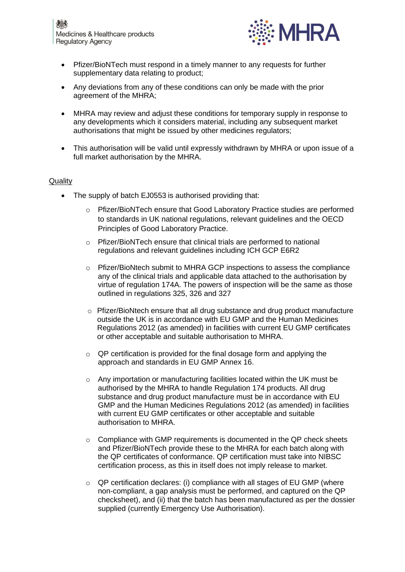

- Pfizer/BioNTech must respond in a timely manner to any requests for further supplementary data relating to product;
- Any deviations from any of these conditions can only be made with the prior agreement of the MHRA;
- MHRA may review and adjust these conditions for temporary supply in response to any developments which it considers material, including any subsequent market authorisations that might be issued by other medicines regulators;
- This authorisation will be valid until expressly withdrawn by MHRA or upon issue of a full market authorisation by the MHRA.

### **Quality**

- The supply of batch EJ0553 is authorised providing that:
	- o Pfizer/BioNTech ensure that Good Laboratory Practice studies are performed to standards in UK national regulations, relevant guidelines and the OECD Principles of Good Laboratory Practice.
	- o Pfizer/BioNTech ensure that clinical trials are performed to national regulations and relevant guidelines including ICH GCP E6R2
	- o Pfizer/BioNtech submit to MHRA GCP inspections to assess the compliance any of the clinical trials and applicable data attached to the authorisation by virtue of regulation 174A. The powers of inspection will be the same as those outlined in regulations 325, 326 and 327
	- $\circ$  Pfizer/BioNtech ensure that all drug substance and drug product manufacture outside the UK is in accordance with EU GMP and the Human Medicines Regulations 2012 (as amended) in facilities with current EU GMP certificates or other acceptable and suitable authorisation to MHRA.
	- o QP certification is provided for the final dosage form and applying the approach and standards in EU GMP Annex 16.
	- $\circ$  Any importation or manufacturing facilities located within the UK must be authorised by the MHRA to handle Regulation 174 products. All drug substance and drug product manufacture must be in accordance with EU GMP and the Human Medicines Regulations 2012 (as amended) in facilities with current EU GMP certificates or other acceptable and suitable authorisation to MHRA.
	- $\circ$  Compliance with GMP requirements is documented in the QP check sheets and Pfizer/BioNTech provide these to the MHRA for each batch along with the QP certificates of conformance. QP certification must take into NIBSC certification process, as this in itself does not imply release to market.
	- $\circ$  QP certification declares: (i) compliance with all stages of EU GMP (where non-compliant, a gap analysis must be performed, and captured on the QP checksheet), and (ii) that the batch has been manufactured as per the dossier supplied (currently Emergency Use Authorisation).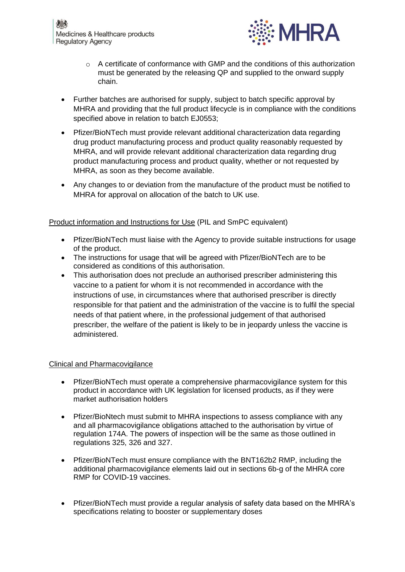

- o A certificate of conformance with GMP and the conditions of this authorization must be generated by the releasing QP and supplied to the onward supply chain.
- Further batches are authorised for supply, subject to batch specific approval by MHRA and providing that the full product lifecycle is in compliance with the conditions specified above in relation to batch EJ0553;
- Pfizer/BioNTech must provide relevant additional characterization data regarding drug product manufacturing process and product quality reasonably requested by MHRA, and will provide relevant additional characterization data regarding drug product manufacturing process and product quality, whether or not requested by MHRA, as soon as they become available.
- Any changes to or deviation from the manufacture of the product must be notified to MHRA for approval on allocation of the batch to UK use.

# Product information and Instructions for Use (PIL and SmPC equivalent)

- Pfizer/BioNTech must liaise with the Agency to provide suitable instructions for usage of the product.
- The instructions for usage that will be agreed with Pfizer/BioNTech are to be considered as conditions of this authorisation.
- This authorisation does not preclude an authorised prescriber administering this vaccine to a patient for whom it is not recommended in accordance with the instructions of use, in circumstances where that authorised prescriber is directly responsible for that patient and the administration of the vaccine is to fulfil the special needs of that patient where, in the professional judgement of that authorised prescriber, the welfare of the patient is likely to be in jeopardy unless the vaccine is administered.

# Clinical and Pharmacovigilance

- Pfizer/BioNTech must operate a comprehensive pharmacovigilance system for this product in accordance with UK legislation for licensed products, as if they were market authorisation holders
- Pfizer/BioNtech must submit to MHRA inspections to assess compliance with any and all pharmacovigilance obligations attached to the authorisation by virtue of regulation 174A. The powers of inspection will be the same as those outlined in regulations 325, 326 and 327.
- Pfizer/BioNTech must ensure compliance with the BNT162b2 RMP, including the additional pharmacovigilance elements laid out in sections 6b-g of the MHRA core RMP for COVID-19 vaccines.
- Pfizer/BioNTech must provide a regular analysis of safety data based on the MHRA's specifications relating to booster or supplementary doses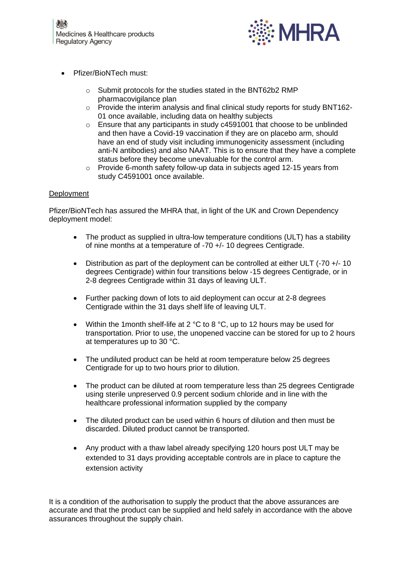

- Pfizer/BioNTech must:
	- o Submit protocols for the studies stated in the BNT62b2 RMP pharmacovigilance plan
	- o Provide the interim analysis and final clinical study reports for study BNT162- 01 once available, including data on healthy subjects
	- $\circ$  Ensure that any participants in study c4591001 that choose to be unblinded and then have a Covid-19 vaccination if they are on placebo arm, should have an end of study visit including immunogenicity assessment (including anti-N antibodies) and also NAAT. This is to ensure that they have a complete status before they become unevaluable for the control arm.
	- o Provide 6-month safety follow-up data in subjects aged 12-15 years from study C4591001 once available.

### Deployment

Pfizer/BioNTech has assured the MHRA that, in light of the UK and Crown Dependency deployment model:

- The product as supplied in ultra-low temperature conditions (ULT) has a stability of nine months at a temperature of -70 +/- 10 degrees Centigrade.
- Distribution as part of the deployment can be controlled at either ULT (-70 +/- 10 degrees Centigrade) within four transitions below -15 degrees Centigrade, or in 2-8 degrees Centigrade within 31 days of leaving ULT.
- Further packing down of lots to aid deployment can occur at 2-8 degrees Centigrade within the 31 days shelf life of leaving ULT.
- Within the 1month shelf-life at 2 °C to 8 °C, up to 12 hours may be used for transportation. Prior to use, the unopened vaccine can be stored for up to 2 hours at temperatures up to 30 °C.
- The undiluted product can be held at room temperature below 25 degrees Centigrade for up to two hours prior to dilution.
- The product can be diluted at room temperature less than 25 degrees Centigrade using sterile unpreserved 0.9 percent sodium chloride and in line with the healthcare professional information supplied by the company
- The diluted product can be used within 6 hours of dilution and then must be discarded. Diluted product cannot be transported.
- Any product with a thaw label already specifying 120 hours post ULT may be extended to 31 days providing acceptable controls are in place to capture the extension activity

It is a condition of the authorisation to supply the product that the above assurances are accurate and that the product can be supplied and held safely in accordance with the above assurances throughout the supply chain.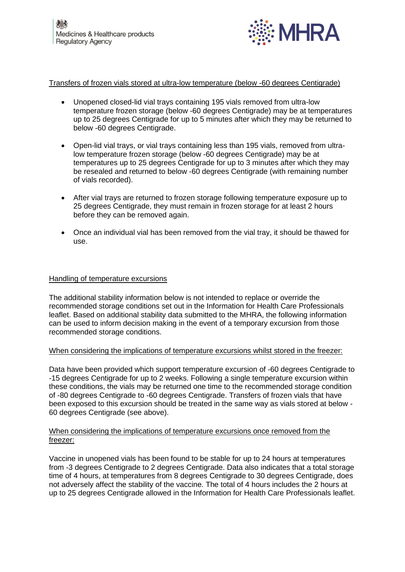

### Transfers of frozen vials stored at ultra-low temperature (below -60 degrees Centigrade)

- Unopened closed-lid vial trays containing 195 vials removed from ultra-low temperature frozen storage (below -60 degrees Centigrade) may be at temperatures up to 25 degrees Centigrade for up to 5 minutes after which they may be returned to below -60 degrees Centigrade.
- Open-lid vial trays, or vial trays containing less than 195 vials, removed from ultralow temperature frozen storage (below -60 degrees Centigrade) may be at temperatures up to 25 degrees Centigrade for up to 3 minutes after which they may be resealed and returned to below -60 degrees Centigrade (with remaining number of vials recorded).
- After vial trays are returned to frozen storage following temperature exposure up to 25 degrees Centigrade, they must remain in frozen storage for at least 2 hours before they can be removed again.
- Once an individual vial has been removed from the vial tray, it should be thawed for use.

#### Handling of temperature excursions

The additional stability information below is not intended to replace or override the recommended storage conditions set out in the Information for Health Care Professionals leaflet. Based on additional stability data submitted to the MHRA, the following information can be used to inform decision making in the event of a temporary excursion from those recommended storage conditions.

#### When considering the implications of temperature excursions whilst stored in the freezer:

Data have been provided which support temperature excursion of -60 degrees Centigrade to -15 degrees Centigrade for up to 2 weeks. Following a single temperature excursion within these conditions, the vials may be returned one time to the recommended storage condition of -80 degrees Centigrade to -60 degrees Centigrade. Transfers of frozen vials that have been exposed to this excursion should be treated in the same way as vials stored at below - 60 degrees Centigrade (see above).

#### When considering the implications of temperature excursions once removed from the freezer:

Vaccine in unopened vials has been found to be stable for up to 24 hours at temperatures from -3 degrees Centigrade to 2 degrees Centigrade. Data also indicates that a total storage time of 4 hours, at temperatures from 8 degrees Centigrade to 30 degrees Centigrade, does not adversely affect the stability of the vaccine. The total of 4 hours includes the 2 hours at up to 25 degrees Centigrade allowed in the Information for Health Care Professionals leaflet.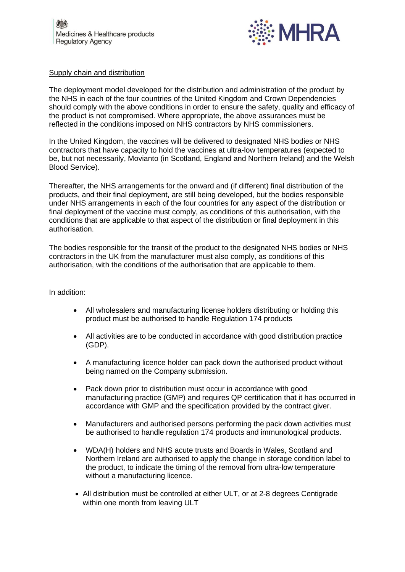

#### Supply chain and distribution

The deployment model developed for the distribution and administration of the product by the NHS in each of the four countries of the United Kingdom and Crown Dependencies should comply with the above conditions in order to ensure the safety, quality and efficacy of the product is not compromised. Where appropriate, the above assurances must be reflected in the conditions imposed on NHS contractors by NHS commissioners.

In the United Kingdom, the vaccines will be delivered to designated NHS bodies or NHS contractors that have capacity to hold the vaccines at ultra-low temperatures (expected to be, but not necessarily, Movianto (in Scotland, England and Northern Ireland) and the Welsh Blood Service).

Thereafter, the NHS arrangements for the onward and (if different) final distribution of the products, and their final deployment, are still being developed, but the bodies responsible under NHS arrangements in each of the four countries for any aspect of the distribution or final deployment of the vaccine must comply, as conditions of this authorisation, with the conditions that are applicable to that aspect of the distribution or final deployment in this authorisation.

The bodies responsible for the transit of the product to the designated NHS bodies or NHS contractors in the UK from the manufacturer must also comply, as conditions of this authorisation, with the conditions of the authorisation that are applicable to them.

In addition:

- All wholesalers and manufacturing license holders distributing or holding this product must be authorised to handle Regulation 174 products
- All activities are to be conducted in accordance with good distribution practice (GDP).
- A manufacturing licence holder can pack down the authorised product without being named on the Company submission.
- Pack down prior to distribution must occur in accordance with good manufacturing practice (GMP) and requires QP certification that it has occurred in accordance with GMP and the specification provided by the contract giver.
- Manufacturers and authorised persons performing the pack down activities must be authorised to handle regulation 174 products and immunological products.
- WDA(H) holders and NHS acute trusts and Boards in Wales, Scotland and Northern Ireland are authorised to apply the change in storage condition label to the product, to indicate the timing of the removal from ultra-low temperature without a manufacturing licence.
- All distribution must be controlled at either ULT, or at 2-8 degrees Centigrade within one month from leaving ULT